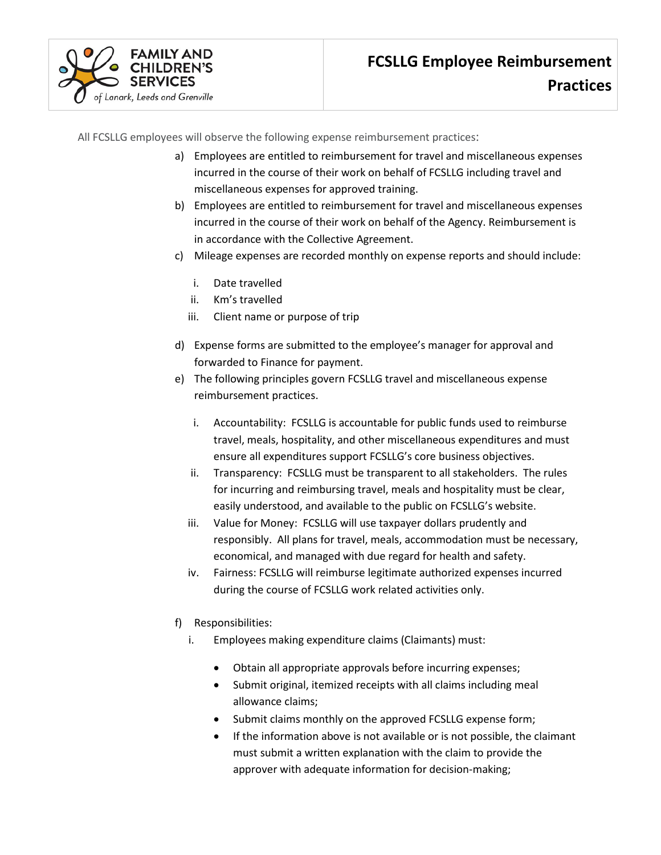All FCSLLG employees will observe the following expense reimbursement practices:

- a) Employees are entitled to reimbursement for travel and miscellaneous expenses incurred in the course of their work on behalf of FCSLLG including travel and miscellaneous expenses for approved training.
- b) Employees are entitled to reimbursement for travel and miscellaneous expenses incurred in the course of their work on behalf of the Agency. Reimbursement is in accordance with the Collective Agreement.
- c) Mileage expenses are recorded monthly on expense reports and should include:
	- i. Date travelled

of Lanark, Leeds and Grenville

- ii. Km's travelled
- iii. Client name or purpose of trip
- d) Expense forms are submitted to the employee's manager for approval and forwarded to Finance for payment.
- e) The following principles govern FCSLLG travel and miscellaneous expense reimbursement practices.
	- i. Accountability: FCSLLG is accountable for public funds used to reimburse travel, meals, hospitality, and other miscellaneous expenditures and must ensure all expenditures support FCSLLG's core business objectives.
	- ii. Transparency: FCSLLG must be transparent to all stakeholders. The rules for incurring and reimbursing travel, meals and hospitality must be clear, easily understood, and available to the public on FCSLLG's website.
	- iii. Value for Money: FCSLLG will use taxpayer dollars prudently and responsibly. All plans for travel, meals, accommodation must be necessary, economical, and managed with due regard for health and safety.
	- iv. Fairness: FCSLLG will reimburse legitimate authorized expenses incurred during the course of FCSLLG work related activities only.
- f) Responsibilities:
	- i. Employees making expenditure claims (Claimants) must:
		- Obtain all appropriate approvals before incurring expenses;
		- Submit original, itemized receipts with all claims including meal allowance claims;
		- Submit claims monthly on the approved FCSLLG expense form;
		- If the information above is not available or is not possible, the claimant must submit a written explanation with the claim to provide the approver with adequate information for decision-making;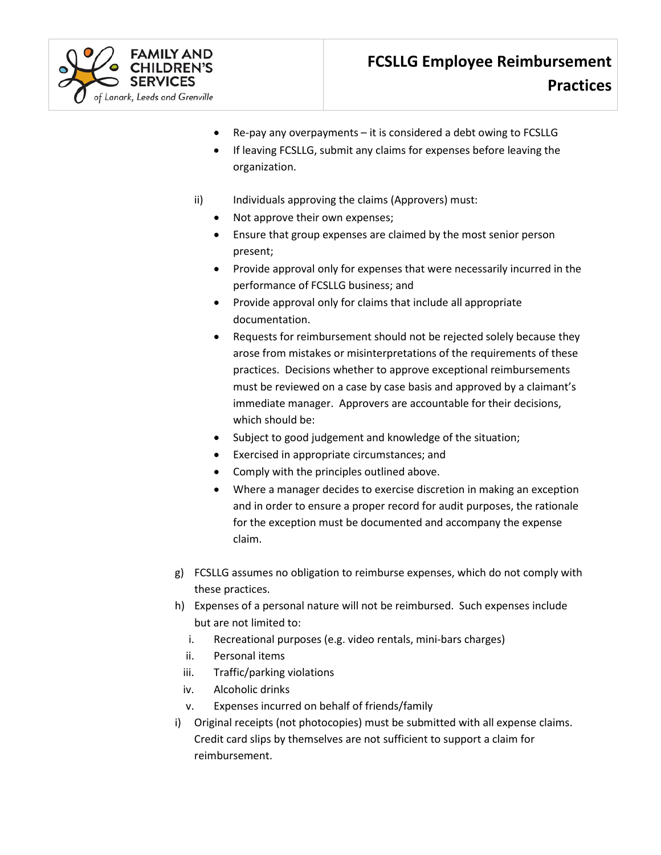

- $Re$ -pay any overpayments it is considered a debt owing to FCSLLG
- If leaving FCSLLG, submit any claims for expenses before leaving the organization.
- ii) Individuals approving the claims (Approvers) must:
	- Not approve their own expenses;
	- Ensure that group expenses are claimed by the most senior person present;
	- Provide approval only for expenses that were necessarily incurred in the performance of FCSLLG business; and
	- Provide approval only for claims that include all appropriate documentation.
	- Requests for reimbursement should not be rejected solely because they arose from mistakes or misinterpretations of the requirements of these practices. Decisions whether to approve exceptional reimbursements must be reviewed on a case by case basis and approved by a claimant's immediate manager. Approvers are accountable for their decisions, which should be:
	- Subject to good judgement and knowledge of the situation;
	- Exercised in appropriate circumstances; and
	- Comply with the principles outlined above.
	- Where a manager decides to exercise discretion in making an exception and in order to ensure a proper record for audit purposes, the rationale for the exception must be documented and accompany the expense claim.
- g) FCSLLG assumes no obligation to reimburse expenses, which do not comply with these practices.
- h) Expenses of a personal nature will not be reimbursed. Such expenses include but are not limited to:
	- i. Recreational purposes (e.g. video rentals, mini-bars charges)
	- ii. Personal items
	- iii. Traffic/parking violations
- iv. Alcoholic drinks
- v. Expenses incurred on behalf of friends/family
- i) Original receipts (not photocopies) must be submitted with all expense claims. Credit card slips by themselves are not sufficient to support a claim for reimbursement.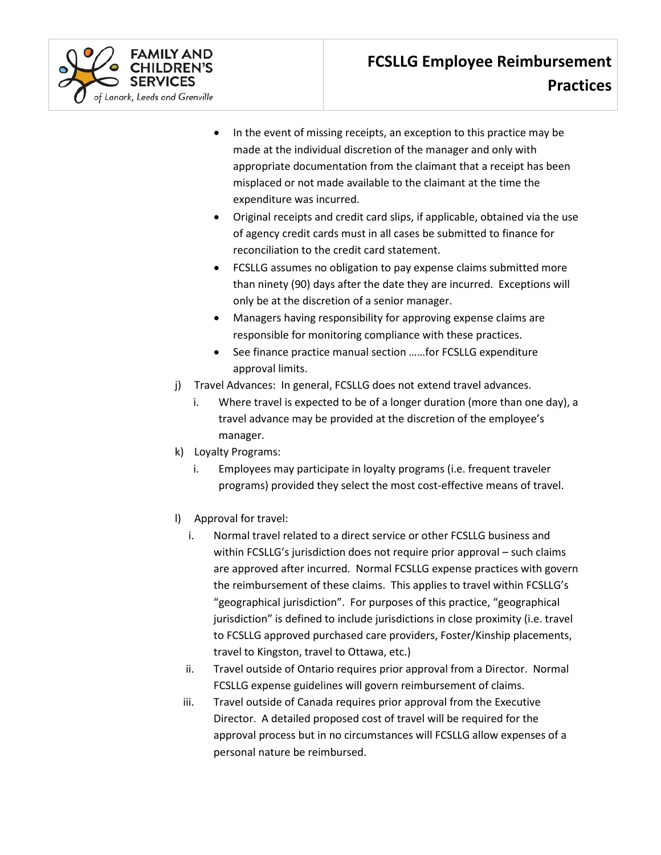

- In the event of missing receipts, an exception to this practice may be made at the individual discretion of the manager and only with appropriate documentation from the claimant that a receipt has been misplaced or not made available to the claimant at the time the expenditure was incurred.
- Original receipts and credit card slips, if applicable, obtained via the use of agency credit cards must in all cases be submitted to finance for reconciliation to the credit card statement.
- FCSLLG assumes no obligation to pay expense claims submitted more than ninety (90) days after the date they are incurred. Exceptions will only be at the discretion of a senior manager.
- Managers having responsibility for approving expense claims are responsible for monitoring compliance with these practices.
- See finance practice manual section ……for FCSLLG expenditure approval limits.
- j) Travel Advances: In general, FCSLLG does not extend travel advances.
	- i. Where travel is expected to be of a longer duration (more than one day), a travel advance may be provided at the discretion of the employee's manager.
- k) Loyalty Programs:
	- i. Employees may participate in loyalty programs (i.e. frequent traveler programs) provided they select the most cost-effective means of travel.
- l) Approval for travel:
	- i. Normal travel related to a direct service or other FCSLLG business and within FCSLLG's jurisdiction does not require prior approval – such claims are approved after incurred. Normal FCSLLG expense practices with govern the reimbursement of these claims. This applies to travel within FCSLLG's "geographical jurisdiction". For purposes of this practice, "geographical jurisdiction" is defined to include jurisdictions in close proximity (i.e. travel to FCSLLG approved purchased care providers, Foster/Kinship placements, travel to Kingston, travel to Ottawa, etc.)
	- ii. Travel outside of Ontario requires prior approval from a Director. Normal FCSLLG expense guidelines will govern reimbursement of claims.
	- iii. Travel outside of Canada requires prior approval from the Executive Director. A detailed proposed cost of travel will be required for the approval process but in no circumstances will FCSLLG allow expenses of a personal nature be reimbursed.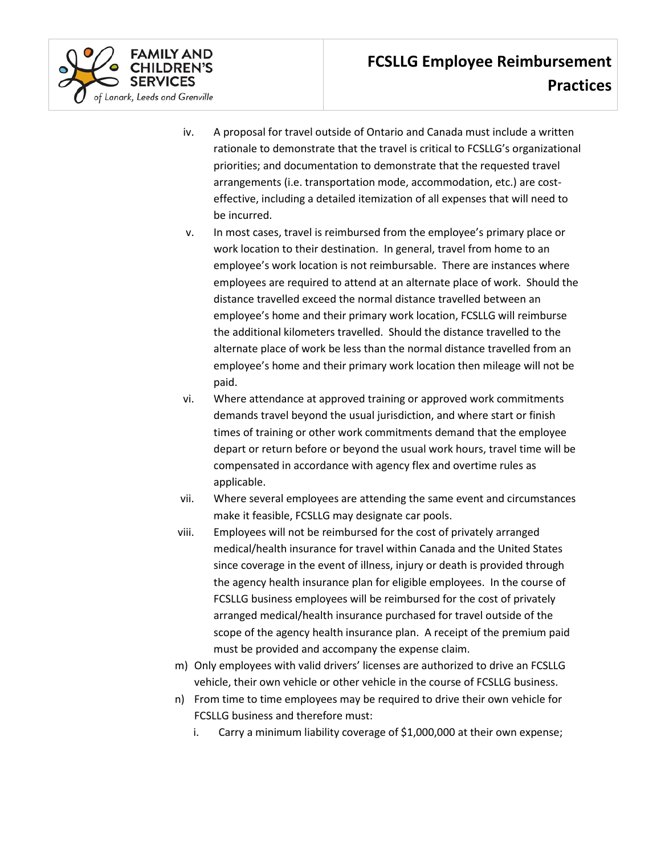

- iv. A proposal for travel outside of Ontario and Canada must include a written rationale to demonstrate that the travel is critical to FCSLLG's organizational priorities; and documentation to demonstrate that the requested travel arrangements (i.e. transportation mode, accommodation, etc.) are costeffective, including a detailed itemization of all expenses that will need to be incurred.
- v. In most cases, travel is reimbursed from the employee's primary place or work location to their destination. In general, travel from home to an employee's work location is not reimbursable. There are instances where employees are required to attend at an alternate place of work. Should the distance travelled exceed the normal distance travelled between an employee's home and their primary work location, FCSLLG will reimburse the additional kilometers travelled. Should the distance travelled to the alternate place of work be less than the normal distance travelled from an employee's home and their primary work location then mileage will not be paid.
- vi. Where attendance at approved training or approved work commitments demands travel beyond the usual jurisdiction, and where start or finish times of training or other work commitments demand that the employee depart or return before or beyond the usual work hours, travel time will be compensated in accordance with agency flex and overtime rules as applicable.
- vii. Where several employees are attending the same event and circumstances make it feasible, FCSLLG may designate car pools.
- viii. Employees will not be reimbursed for the cost of privately arranged medical/health insurance for travel within Canada and the United States since coverage in the event of illness, injury or death is provided through the agency health insurance plan for eligible employees. In the course of FCSLLG business employees will be reimbursed for the cost of privately arranged medical/health insurance purchased for travel outside of the scope of the agency health insurance plan. A receipt of the premium paid must be provided and accompany the expense claim.
- m) Only employees with valid drivers' licenses are authorized to drive an FCSLLG vehicle, their own vehicle or other vehicle in the course of FCSLLG business.
- n) From time to time employees may be required to drive their own vehicle for FCSLLG business and therefore must:
	- i. Carry a minimum liability coverage of \$1,000,000 at their own expense;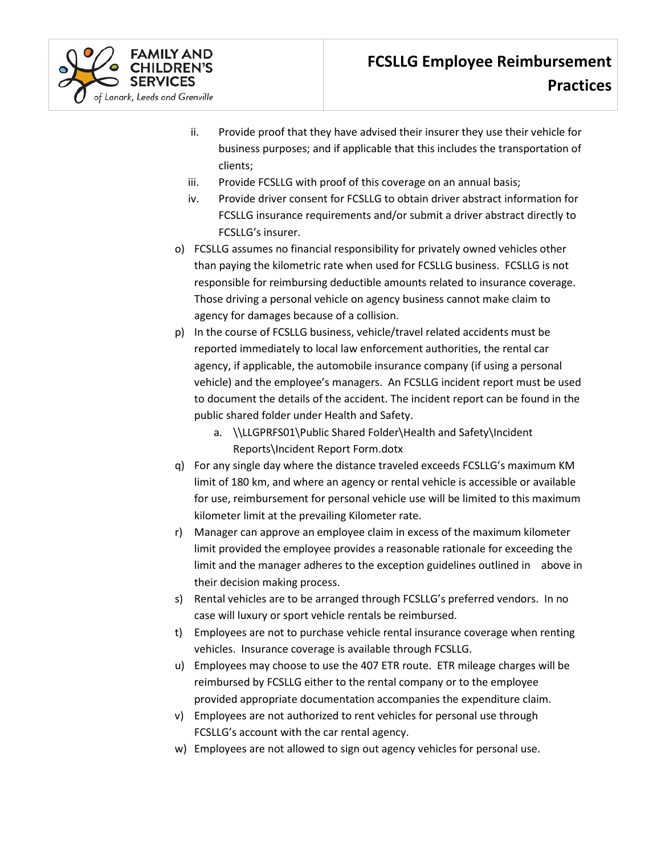

- ii. Provide proof that they have advised their insurer they use their vehicle for business purposes; and if applicable that this includes the transportation of clients;
- iii. Provide FCSLLG with proof of this coverage on an annual basis;
- iv. Provide driver consent for FCSLLG to obtain driver abstract information for FCSLLG insurance requirements and/or submit a driver abstract directly to FCSLLG's insurer.
- o) FCSLLG assumes no financial responsibility for privately owned vehicles other than paying the kilometric rate when used for FCSLLG business. FCSLLG is not responsible for reimbursing deductible amounts related to insurance coverage. Those driving a personal vehicle on agency business cannot make claim to agency for damages because of a collision.
- p) In the course of FCSLLG business, vehicle/travel related accidents must be reported immediately to local law enforcement authorities, the rental car agency, if applicable, the automobile insurance company (if using a personal vehicle) and the employee's managers. An FCSLLG incident report must be used to document the details of the accident. The incident report can be found in the public shared folder under Health and Safety.
	- a. \\LLGPRFS01\Public Shared Folder\Health and Safety\Incident Reports\Incident Report Form.dotx
- q) For any single day where the distance traveled exceeds FCSLLG's maximum KM limit of 180 km, and where an agency or rental vehicle is accessible or available for use, reimbursement for personal vehicle use will be limited to this maximum kilometer limit at the prevailing Kilometer rate.
- r) Manager can approve an employee claim in excess of the maximum kilometer limit provided the employee provides a reasonable rationale for exceeding the limit and the manager adheres to the exception guidelines outlined in above in their decision making process.
- s) Rental vehicles are to be arranged through FCSLLG's preferred vendors. In no case will luxury or sport vehicle rentals be reimbursed.
- t) Employees are not to purchase vehicle rental insurance coverage when renting vehicles. Insurance coverage is available through FCSLLG.
- u) Employees may choose to use the 407 ETR route. ETR mileage charges will be reimbursed by FCSLLG either to the rental company or to the employee provided appropriate documentation accompanies the expenditure claim.
- v) Employees are not authorized to rent vehicles for personal use through FCSLLG's account with the car rental agency.
- w) Employees are not allowed to sign out agency vehicles for personal use.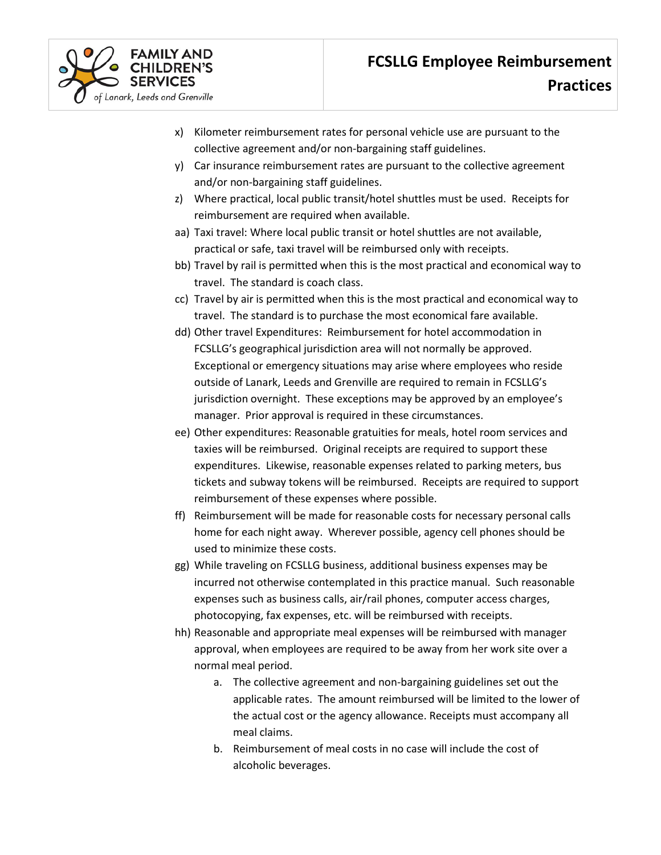

- x) Kilometer reimbursement rates for personal vehicle use are pursuant to the collective agreement and/or non-bargaining staff guidelines.
- y) Car insurance reimbursement rates are pursuant to the collective agreement and/or non-bargaining staff guidelines.
- z) Where practical, local public transit/hotel shuttles must be used. Receipts for reimbursement are required when available.
- aa) Taxi travel: Where local public transit or hotel shuttles are not available, practical or safe, taxi travel will be reimbursed only with receipts.
- bb) Travel by rail is permitted when this is the most practical and economical way to travel. The standard is coach class.
- cc) Travel by air is permitted when this is the most practical and economical way to travel. The standard is to purchase the most economical fare available.
- dd) Other travel Expenditures: Reimbursement for hotel accommodation in FCSLLG's geographical jurisdiction area will not normally be approved. Exceptional or emergency situations may arise where employees who reside outside of Lanark, Leeds and Grenville are required to remain in FCSLLG's jurisdiction overnight. These exceptions may be approved by an employee's manager. Prior approval is required in these circumstances.
- ee) Other expenditures: Reasonable gratuities for meals, hotel room services and taxies will be reimbursed. Original receipts are required to support these expenditures. Likewise, reasonable expenses related to parking meters, bus tickets and subway tokens will be reimbursed. Receipts are required to support reimbursement of these expenses where possible.
- ff) Reimbursement will be made for reasonable costs for necessary personal calls home for each night away. Wherever possible, agency cell phones should be used to minimize these costs.
- gg) While traveling on FCSLLG business, additional business expenses may be incurred not otherwise contemplated in this practice manual. Such reasonable expenses such as business calls, air/rail phones, computer access charges, photocopying, fax expenses, etc. will be reimbursed with receipts.
- hh) Reasonable and appropriate meal expenses will be reimbursed with manager approval, when employees are required to be away from her work site over a normal meal period.
	- a. The collective agreement and non-bargaining guidelines set out the applicable rates. The amount reimbursed will be limited to the lower of the actual cost or the agency allowance. Receipts must accompany all meal claims.
	- b. Reimbursement of meal costs in no case will include the cost of alcoholic beverages.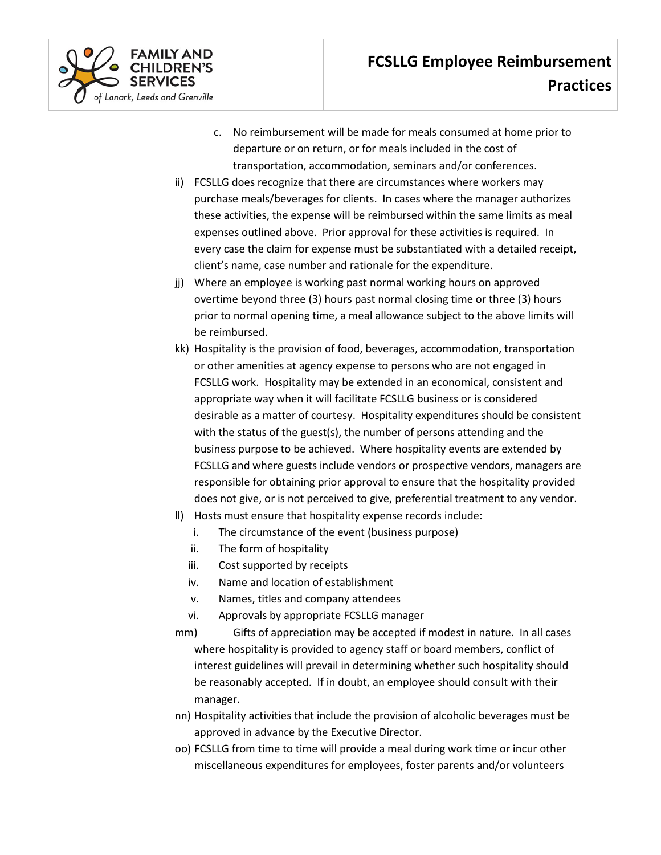

- c. No reimbursement will be made for meals consumed at home prior to departure or on return, or for meals included in the cost of transportation, accommodation, seminars and/or conferences.
- ii) FCSLLG does recognize that there are circumstances where workers may purchase meals/beverages for clients. In cases where the manager authorizes these activities, the expense will be reimbursed within the same limits as meal expenses outlined above. Prior approval for these activities is required. In every case the claim for expense must be substantiated with a detailed receipt, client's name, case number and rationale for the expenditure.
- jj) Where an employee is working past normal working hours on approved overtime beyond three (3) hours past normal closing time or three (3) hours prior to normal opening time, a meal allowance subject to the above limits will be reimbursed.
- kk) Hospitality is the provision of food, beverages, accommodation, transportation or other amenities at agency expense to persons who are not engaged in FCSLLG work. Hospitality may be extended in an economical, consistent and appropriate way when it will facilitate FCSLLG business or is considered desirable as a matter of courtesy. Hospitality expenditures should be consistent with the status of the guest(s), the number of persons attending and the business purpose to be achieved. Where hospitality events are extended by FCSLLG and where guests include vendors or prospective vendors, managers are responsible for obtaining prior approval to ensure that the hospitality provided does not give, or is not perceived to give, preferential treatment to any vendor.
- ll) Hosts must ensure that hospitality expense records include:
	- i. The circumstance of the event (business purpose)
	- ii. The form of hospitality
	- iii. Cost supported by receipts
	- iv. Name and location of establishment
	- v. Names, titles and company attendees
	- vi. Approvals by appropriate FCSLLG manager
- mm) Gifts of appreciation may be accepted if modest in nature. In all cases where hospitality is provided to agency staff or board members, conflict of interest guidelines will prevail in determining whether such hospitality should be reasonably accepted. If in doubt, an employee should consult with their manager.
- nn) Hospitality activities that include the provision of alcoholic beverages must be approved in advance by the Executive Director.
- oo) FCSLLG from time to time will provide a meal during work time or incur other miscellaneous expenditures for employees, foster parents and/or volunteers